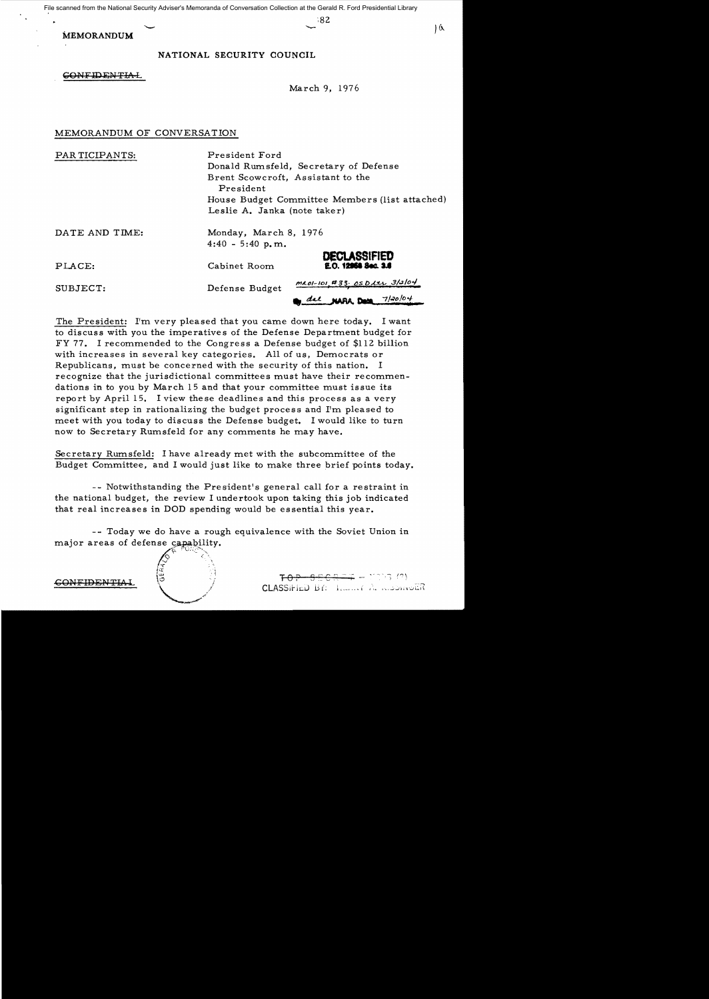File scanned from the National Security Adviser's Memoranda of Conversation Collection at the Gerald R. Ford Presidential Library

~82

16

**MEMORANDUM** 

NATIONAL SECURITY COUNCIL

GONFIDENTIAL

March 9, 1976

# MEMORANDUM OF CONVERSATION

PAR TICIPANTS: President Ford Donald Rumsfeld, Secretary of Defense Brent Scowcroft, As sistant to the President House Budget Committee Members (list attached) Leslie A. Janka (note taker) DATE AND TIME: Monday, March 8, 1976  $4:40 - 5:40 p.m.$ **DEClASSIFIED**  PLACE: Cabinet Room **1.0.1..... 1.1**   $mA01-101.$  #33· 05 D LLL 3/2/04 SUBJECT: Defense Budget **... dLl** 1Iot.l.d:U. **OeM** '7/«C/D<f **"'--""""- .. ..** 

The President: I'm very pleased that you came down here today. I want to discuss with you the imperatives of the Defense Department budget for FY 77. I recommended to the Congress a Defense budget of \$112 billion with increases in several key categories. All of us, Democrats or Republicans, must be concerned with the security of this nation. I recognize that the jurisdictional committees must have their recommendations in to you by March 15 and that your committee must issue its report by April 15. I view these deadlines and this process as a very significant step in rationalizing the budget process and I'm pleased to meet with you today to discuss the Defense budget. I would like to turn now to Secretary Rumsfe1d for any comments he may have.

Secretary Rumsfeld: I have already met with the subcommittee of the Budget Committee, and I would just like to make three brief points today.

-- Notwithstanding the President's general call for a restraint in the national budget, the review I undertook upon taking this job indicated that real increases in DOD spending would be essential this year.

-- Today we do have a rough equivalence with the Soviet Union in major areas of defense capability.



CONFIDENTIAL

<del>- 1954 - 1955 (9)</del>  $CLASSiFLD$   $BF:$   $1,...,7$   $\Lambda$ .  $...$ gon $*$ o $ER$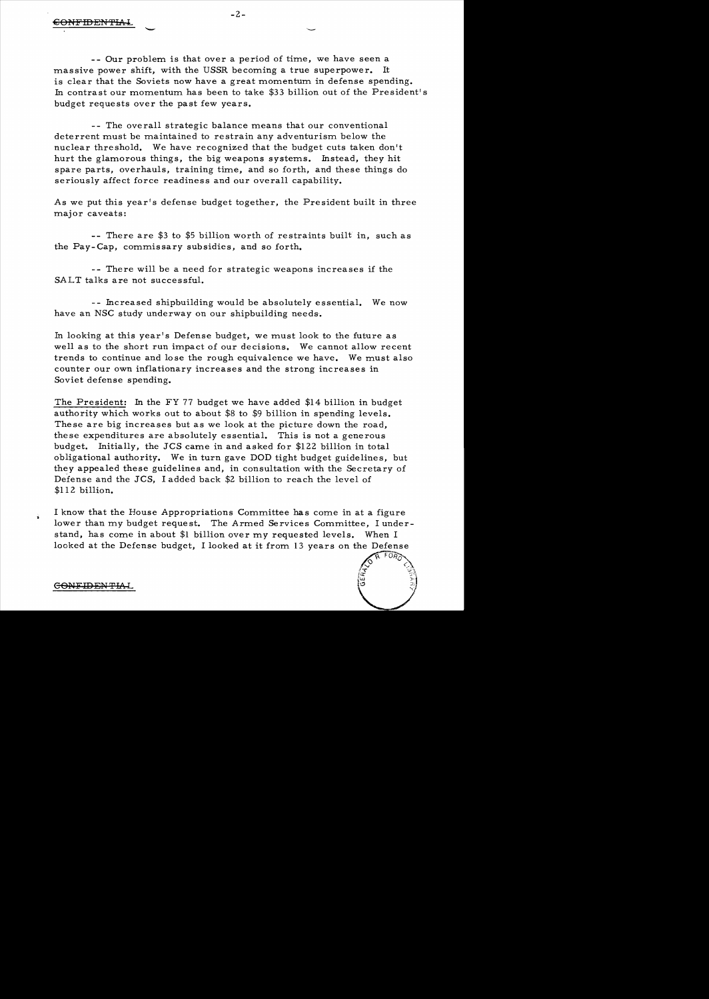- - Our problem is that over a period of time, we have seen a massive power shift, with the USSR becoming a true superpower. It is clear that the Soviets now have a great momentum in defense spending. In contrast our momentum has been to take \$33 billion out of the President's budget requests over the past few years.

**--** The overall strategic balance means that our conventional deterrent must be maintained to restrain any adventurism below the nuclear threshold. We have recognized that the budget cuts taken don't hurt the glamorous things, the big weapons systems. Instead, they hit spare parts, overhauls, training time, and so forth, and these things do seriously affect force readiness and our overall capability.

As we put this year's defense budget together, the President built in three major caveats:

**--** There are \$3 to \$5 billion worth of restraints built in, such as the Pay-Cap, commissary subsidies, and so forth.

- - There will be a need for strategic weapons increases if the SALT talks are not successful.

**--** Increased shipbuilding would be absolutely essential. We now have an NSC study underway on our shipbuilding needs,.

In looking at this year's Defense budget, we must look to the future as well as to the short run impact of our decisions. We cannot allow recent trends to continue and 10 se the rough equivalence we have. We must also counter our own inflationary increases and the strong increases in Soviet defense spending.

The President: In the FY 77 budget we have added \$14 billion in budget authority which works out to about \$8 to \$9 billion in spending levels. The se are big increases but as we look at the picture down the road, these expenditures are absolutely essential. This is not a generous budget. Initially, the JCS carne in and asked for \$122 billion in total obligational authority. We in turn gave DOD tight budget guidelines, but they appealed these guidelines and, in consultation with the Secretary of Defense and the JCS, I added back \$2 billion to reach the level of \$112 billion.

I know that the House Appropriations Committee has corne in at a figure lower than my budget request. The Armed Services Committee, I understand, has come in about \$1 billion over my requested levels. When I looked at the Defense budget, I looked at it from 13 years on the Defense



CONFIDENTIAL

À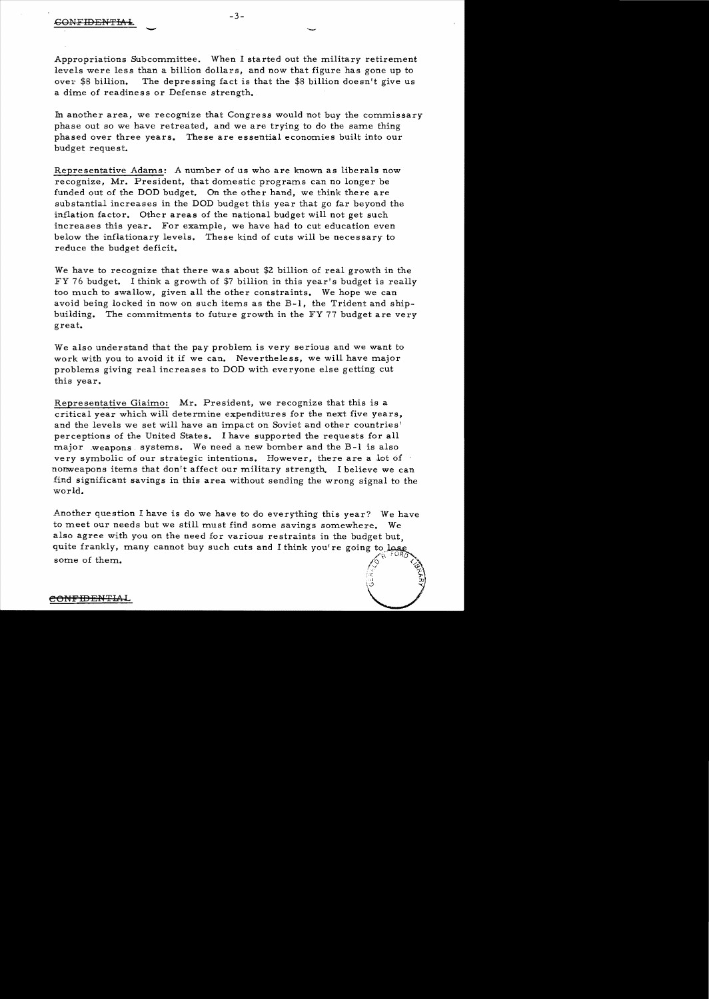-

Appropriations Subcommittee. When I started out the military retirement levels were less than a billion dollars, and now that figure has gone up to over \$8 billion. The depressing fact is that the \$8 billion doesn't give us a dime of readiness or Defense strength.

In another area, we recognize that Congress would not buy the commissary phase out so we have retreated, and we are trying to do the same thing phased over three years. These are essential economies built into our budget request.

Representative Adams: A number of us who are known as liberals now recognize, Mr. President, that domestic programs can no longer be funded out of the DOD budget. On the other hand, we think there are substantial increases in the DOD budget this year that go far beyond the inflation factor. Other areas of the national budget will not get such increases this year. For example, we have had to cut education even below the inflationary levels. These kind of cuts will be neces sary to reduce the budget deficit.

We have to recognize that there was about \$2 billion of real growth in the FY 76 budget. I think a growth of \$7 billion in this year's budget is really too much to swallow, given all the other constraints. We hope we can avoid being locked in now on such items as the B-1, the Trident and shipbuilding. The commitments to future growth in the FY 77 budget are very great.

We also understand that the pay problem is very serious and we want to work with you to avoid it if we can. Nevertheless, we will have major problems giving real increases to DOD with everyone else getting cut this year.

Representative Giaimo: Mr. President, we recognize that this is a critical year which will determine expenditures for the next five years, and the levels we set will have an impact on Soviet and other countries' perceptions of the United States. I have supported the requests for all major .weapons, *systems.* We need a new bomber and the B-1 is also very symbolic of our strategic intentions. However, there are a lot of nonweapons items that don't affect our military strength. I believe we can find significant savings in this area without sending the wrong signal to the world.

Another question I have is do we have to do everything this year? We have to meet our needs but we still must find some savings somewhere. also agree with you on the need for various restraints in the budget but, quite frankly, many cannot buy such cuts and I think you're going to. some of them.

> 'f'  $f_{\rm eff}$

### CONFIDENTIA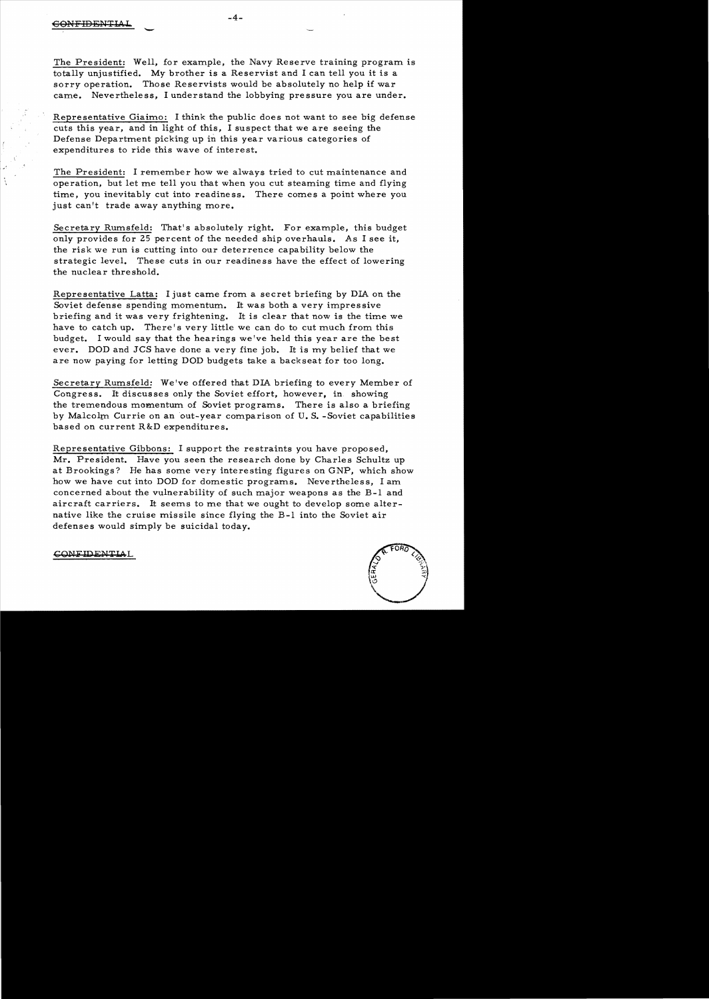$\overline{\phantom{a}}$ 

The President: Well, for example, the Navy Reserve training program is totally unjustified. My brother is a Reservist and I can tell you it is a sorry operation. Those Reservists would be absolutely no help if war carne. Nevertheless, I understand the lobbying pressure you are under.

Representative Giaimo: I think the public does not want to see big defense cuts this year, and in light of this, I suspect that we are seeing the Defense Department picking up in this year various categories of expenditures to ride this wave of interest.

The President: I remember how we always tried to cut maintenance and operation, but let me tell you that when you cut steaming time and flying time, you inevitably cut into readiness. There comes a point where you just can't trade away anything more.

Secretary Rumsfeld: That's absolutely right. For example, this budget only provides for 25 percent of the needed ship overhauls. As I see it, the risk we run is cutting into our deterrence capability below the strategic level. These cuts in our readiness have the effect of lowering the nuclear threshold.

Representative Latta: I just came from a secret briefing by  $DIA$  on the Soviet defense spending momentum. It was both a very impres sive briefing and it was very frightening. It is clear that now is the time we have to catch up. There's very little we can do to cut much from this budget. I would say that the hearings we fve held this year are the best ever. DOD and JCS have done a very fine job. It is my belief that we are now paying for letting DOD budgets take a backseat for too long.

Secretary Rumsfeld: We've offered that DIA briefing to every Member of Congress. It discusses only the Soviet effort, however, in showing the tremendous momentum of Soviet programs. There is also a briefing by Malcolm Currie on an out-year comparison of U. S. -Soviet capabilities based on current R&D expenditures.

Representative Gibbons: I support the restraints you have proposed, Mr. President. Have you seen the research done by Charles Schultz up at Brookings? He has some very interesting figures on GNP, which show how we have cut into DOD for domestic programs. Nevertheless, I am concerned about the vulnerability of such major weapons as the B-1 and aircraft carriers. It seems to me that we ought to develop some alternative like the cruise missile since flying the B-1 into the Soviet air defenses would simply be suicidal today.

CONFIDENTIAL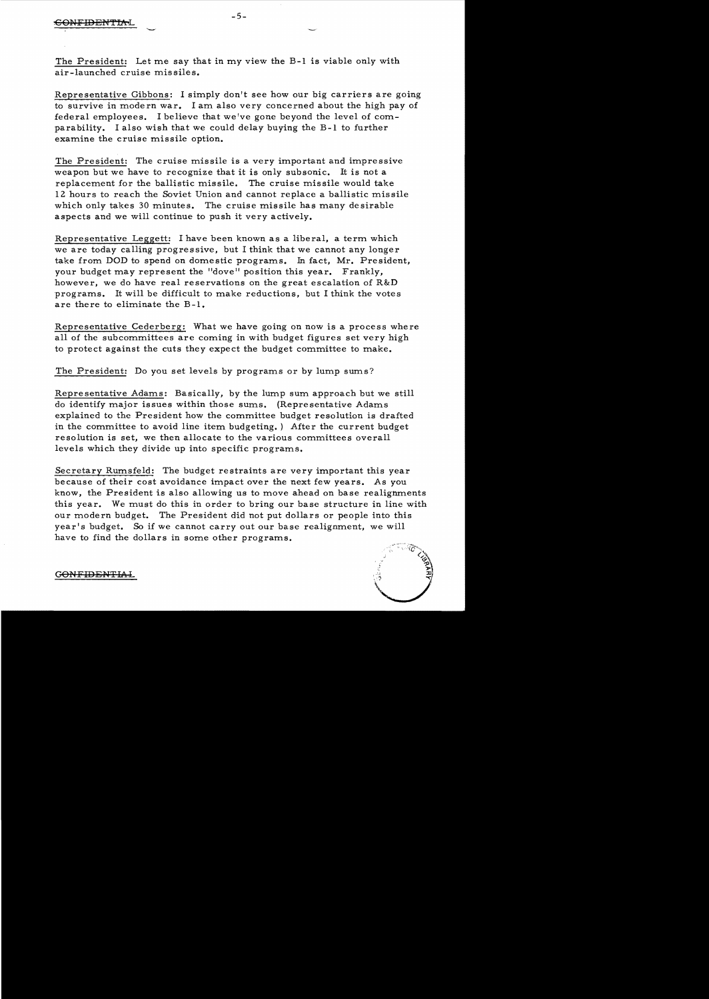The President: Let me say that in my view the B-1 is viable only with air-launched cruise missiles.

Representative Gibbons: I simply don't see how our big carriers are going to survive in modern war. I am also very concerned about the high pay of federal employees. I believe that we've gone beyond the level of comparability. I also wish that we could delay buying the B-1 to further examine the cruise missile option.

The President: The cruise missile is a very important and impressive weapon but we have to recognize that it is only subsonic. It is not a replacement for the ballistic missile. The cruise missile would take 12 hours to reach the Soviet Union and cannot replace a ballistic missile which only takes 30 minutes. The cruise missile has many desirable aspects and we will continue to push it very actively.

Representative Leggett: I have been known as a liberal, a term which we are today calling progressive, but I think that we cannot any longer take from DOD to spend on domestic programs. In fact, Mr. President, your budget may represent the "dove" position this year. Frankly, however, we do have real reservations on the great escalation of R&D programs. It will be difficult to make reductions, but I think the votes are there to eliminate the B-l.

Representative Cederberg: What we have going on now is a process where all of the subcommittees are coming in with budget figures set very high to protect against the cuts they expect the budget committee to make.

The President: Do you set levels by programs or by lump sums?

Repre sentative Adams: Basically, by the lump sum approach but we still do identify major issues within those sums. (Representative Adams explained to the President how the committee budget resolution is drafted in the committee to avoid line item budgeting.) After the current budget resolution is set, we then allocate to the various committees overall levels which they divide up into specific programs.

Secretary Rumsfeld: The budget restraints are very important this year because of their cost avoidance impact over the next few years. As you know, the President is also allowing us to move ahead on base realignments this year. We must do this in order to bring our base structure in line with our modern budget. The President did not put dollars or people into this year's budget. So if we cannot carry out our base realignment, we will have to find the dollars in some other programs.



## GONFIDENTIAL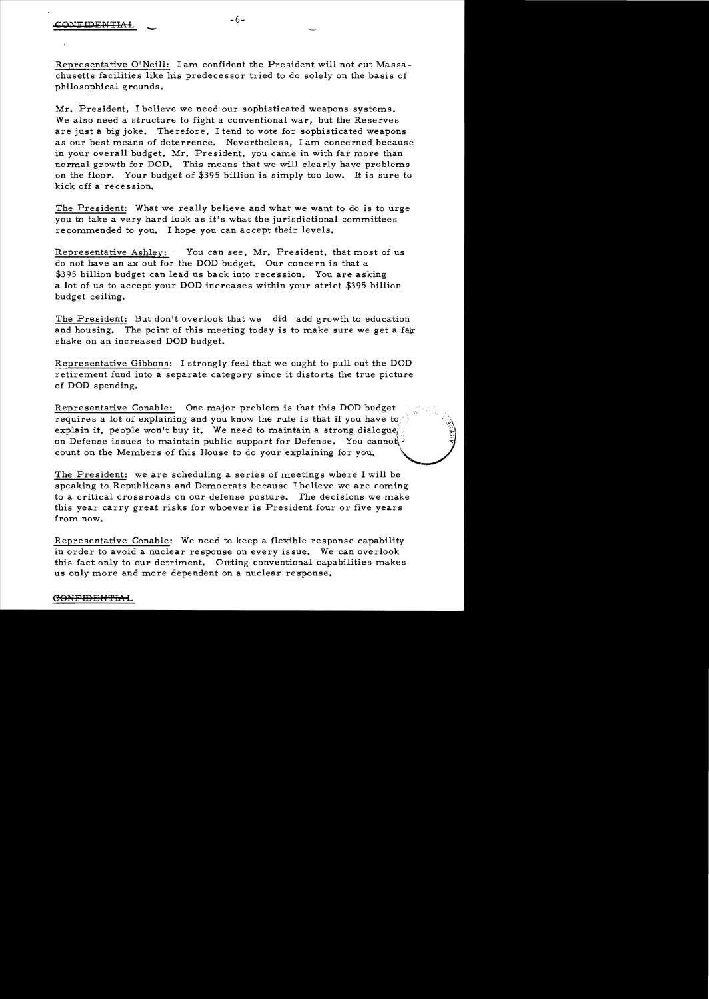-

Representative O'Neill: I am confident the President will not cut Massachusetts facilities like his predecessor tried to do solely on the basis of philosophical grounds.

Mr. President, I believe we need our sophisticated weapons systems. We also need a structure to fight a conventional war, but the Reserves are just a big joke. Therefore, I tend to vote for sophisticated weapons as our best means of deterrence. Nevertheless, I am concerned because in your overall budget, Mr. President, you came in with far more than normal growth for DOD. This means that we will clearly have problems on the floor. Your budget of \$395 billion is simply too low. It is sure to kick off a recession.

The President: What we really believe and what we want to do is to urge you to take a very hard look as it's what the jurisdictional committees recommended to you. I hope you can accept their levels.

Representative Ashley: You can see, Mr. President, that most of us do not have an ax out for the DOD budget. Our concern is that a \$395 billion budget can lead us back into recession. You are asking a lot of us to accept your DOD increases within your strict \$395 billion budget ceiling.

The President: But don't overlook that we did add growth to education and housing. The point of this meeting today is to make sure we get a fair shake on an increased DOD budget.

Representative Gibbons: I strongly feel that we ought to pull out the DOD retirement fund into a separate category since it distorts the true picture of DOD spending.

Representative Conable: One major problem is that this DOD budget requires a lot of explaining and you know the rule is that if you have to, explain it, people won't buy it. We need to maintain a strong dialogue  $\mathbb{E}$ on Defense issues to maintain public support for Defense. You cannot  $\vec{\ddot{\theta}}$  and  $\vec{\ddot{\theta}}$ requires a lot of explaining and you know the rule is that if you have to  $\frac{1}{2}$ <br>explain it, people won't buy it. We need to maintain a strong dialogue.<br>on Defense issues to maintain public support for Defense. You cann

The President: we are scheduling a series of meetings where I will be speaking to Republicans and Democrats because I believe we are coming to a critical crossroads on our defense posture. The decisions we make this year carry great risks for whoever is President four or five years from now.

Representative Conable: We need to keep a flexible response capability in order to avoid a nuclear response on every issue. We can overlook this fact only to our detriment. Cutting conventional capabilities makes us only more and more dependent on a nuclear response.

### CONFIDENTIAL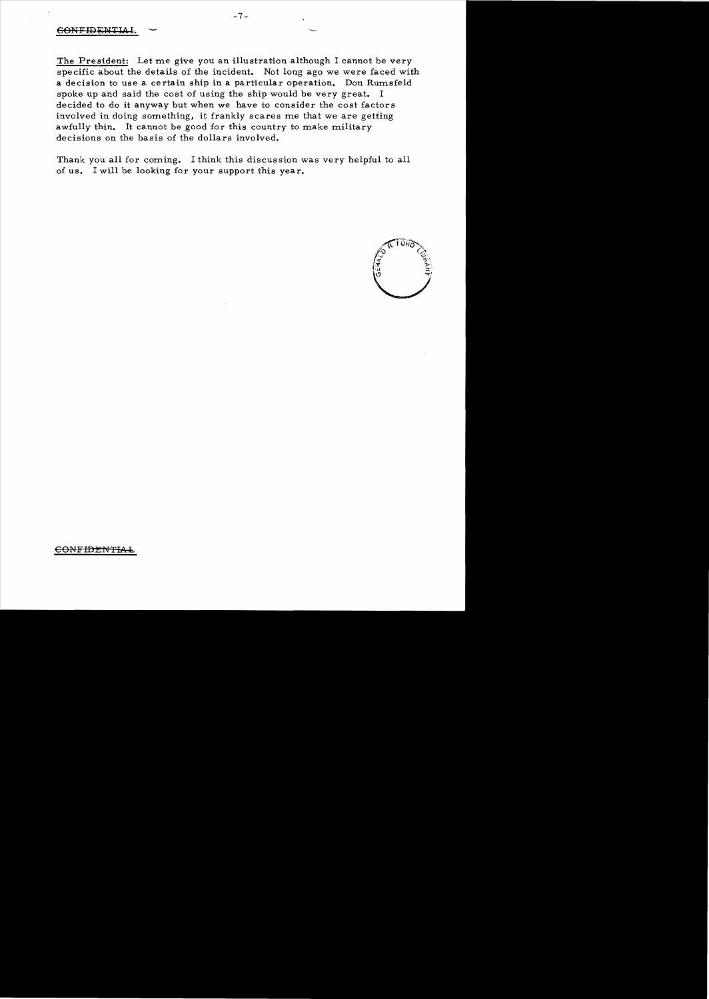The President: Let me give you an illustration although I cannot be very specific about the details of the incident. Not long ago we were faced with a decision to use a certain ship in a particular operation. Don Rumsfeld spoke up and said the cost of using the ship would be very great. I decided to do it anyway but when we have to consider the cost factors involved in doing something, it frankly scares me that we are getting awfully thin. It cannot be good for this country to make military decisions on the basis of the dollars involved.

Thank you all for coming. I think this discussion was very helpful to all of us. I will be looking for your support this year.

### **CONFIDENTIAL**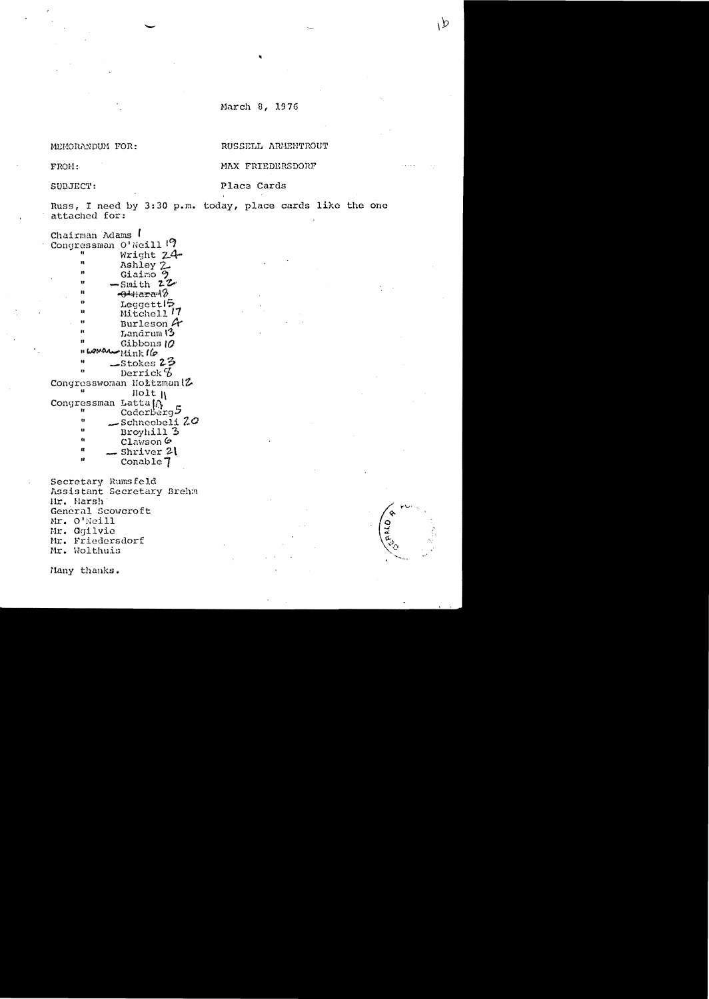## March 8, 1976

#### MEMORANDUM FOR:

RUSSELL ARMENTROUT

FROM:

MAX FRIEDERSDORF

SUBJECT:

Place Cards

Russ, I need by 3:30 p.m. today, place cards like the one attached for:

Chairman Adams I Congressman O'Neill<sup>1</sup>  $\mathbf{u}$ Wright  $24$  $\mathbf{u}$ Ashley 2  $\bullet$ Giaimo<sub>9</sub>  $-$ Smith  $2^2$ Ħ  $\mathbf{u}$  $\leftrightarrow$  ara  $\%$  $\ddot{\phantom{0}}$  $Leggett5$ Mitchell<sup>17</sup> n n Burleson &  $\mathbf{R}$ Landrum<sup>1</sup>3  $\mathbf{u}$ Gibbons 10 " WOMAN Mink 16  $\pmb{u}$  $\mathsf{\textbf{.Stokes}}$  23  $\pmb{\Theta}$ Derrick  $\mathcal{C}$ Congresswoman Holtzman(Z llolt II  $\mathbf{u}$ Congressman Latta Cederberg5  $^{\bullet}$ ŧ,  $-$ Schneebeli 20  $\mathbf{u}$ Broyhill 3  $\ddot{\mathbf{u}}$  $C1$ awson $\varphi$  $\mathbf{R}$ - Shriver 21 Ħ  $Conable 7$ 

Secretary Rumsfeld Assistant Secretary Brehm Hr. Marsh General Scowcroft Mr. O'Neill Mr. Ogilvic Mr. Friedersdorf Mr. Wolthuis

Many thanks.



۱D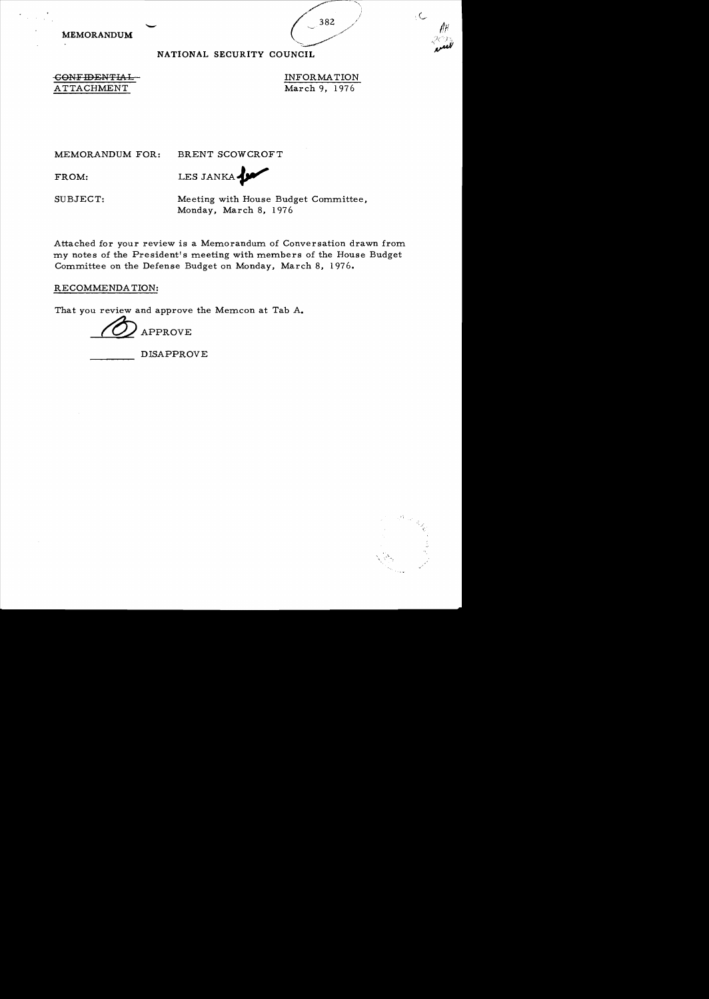



## NATIONAL SECURITY COUNCIL

CONFIDENTIAL CONFIDENTIAL CONFIDENTIAL ATTACHMENT March 9, 1976

MEMORANDUM FOR: BRENT SCOWCROFT

FROM: LES JANKA

SUBJECT: Meeting with House Budget Committee, Monday, March 8, 1976

Attached for your review is a Memorandum of Conversation drawn from my notes of the President's meeting with members of the House Budget Committee on the Defense Budget on Monday, March 8, 1976.

RECOMMENDA TION:

That you review and approve the Memcon at Tab A.

~APPROVE

DISAPPROVE